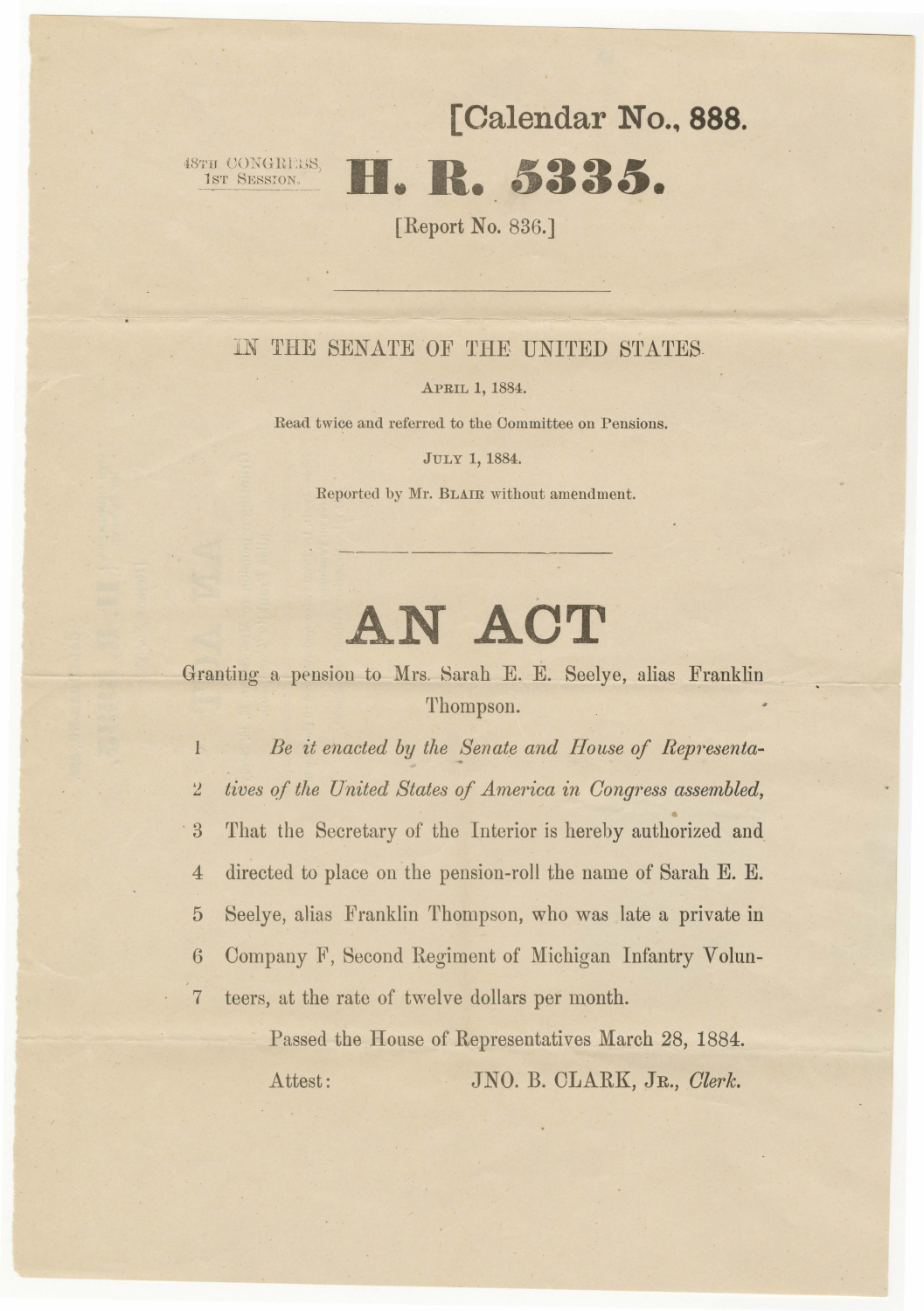## [ **Calendar** No., **888.**

# 18TH CONGREESS **H. R. 5335.**

[Report No. 836.]

### IN THE SENATE OF THE UNITED STATES.

### **APRIL 1, 1884.**

Read twice and referred to the Committee on Pensions.

### **JULY 1, 1884.**

Reported by Mr. BLAIR without amendment.

# **AN ACT**

Granting a pension to Mrs. Sarah E. E. Seelye, alias Franklin Thompson.

1 Be it enacted by the Senate and House of Representa-*2 lives qf the United States of America in Congress assembled,*  3 That the Secretary of the Interior is hereby authorized and 4 directed to place on the pension-roll the name of Sarah E. E. 5 Seelye, alias Franklin Thompson, who was late a private in 6 Company F, Second Regiment of Michigan Infantry Volun-7 teers, at the rate of twelve dollars per month.

> Passed the House of Representatives March 28, 1884. Attest: JNO. B. CLARK, JR., *Clerk.*